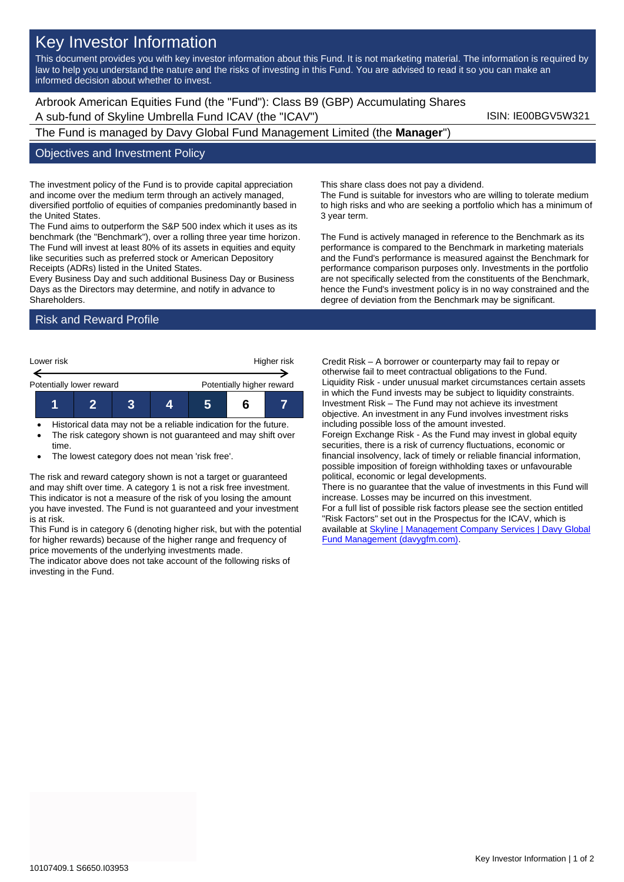# Key Investor Information

This document provides you with key investor information about this Fund. It is not marketing material. The information is required by law to help you understand the nature and the risks of investing in this Fund. You are advised to read it so you can make an informed decision about whether to invest.

Arbrook American Equities Fund (the "Fund"): Class B9 (GBP) Accumulating Shares A sub-fund of Skyline Umbrella Fund ICAV (the "ICAV") Sub-fund iSIN: IE00BGV5W321

The Fund is managed by Davy Global Fund Management Limited (the **Manager**")

#### Objectives and Investment Policy

The investment policy of the Fund is to provide capital appreciation and income over the medium term through an actively managed, diversified portfolio of equities of companies predominantly based in the United States.

The Fund aims to outperform the S&P 500 index which it uses as its benchmark (the "Benchmark"), over a rolling three year time horizon. The Fund will invest at least 80% of its assets in equities and equity like securities such as preferred stock or American Depository Receipts (ADRs) listed in the United States.

Every Business Day and such additional Business Day or Business Days as the Directors may determine, and notify in advance to **Shareholders** 

## Risk and Reward Profile



• Historical data may not be a reliable indication for the future. The risk category shown is not guaranteed and may shift over time.

The lowest category does not mean 'risk free'.

The risk and reward category shown is not a target or guaranteed and may shift over time. A category 1 is not a risk free investment. This indicator is not a measure of the risk of you losing the amount you have invested. The Fund is not guaranteed and your investment is at risk.

This Fund is in category 6 (denoting higher risk, but with the potential for higher rewards) because of the higher range and frequency of price movements of the underlying investments made.

The indicator above does not take account of the following risks of investing in the Fund.

This share class does not pay a dividend.

The Fund is suitable for investors who are willing to tolerate medium to high risks and who are seeking a portfolio which has a minimum of 3 year term.

The Fund is actively managed in reference to the Benchmark as its performance is compared to the Benchmark in marketing materials and the Fund's performance is measured against the Benchmark for performance comparison purposes only. Investments in the portfolio are not specifically selected from the constituents of the Benchmark, hence the Fund's investment policy is in no way constrained and the degree of deviation from the Benchmark may be significant.

Credit Risk – A borrower or counterparty may fail to repay or otherwise fail to meet contractual obligations to the Fund. Liquidity Risk - under unusual market circumstances certain assets in which the Fund invests may be subject to liquidity constraints. Investment Risk – The Fund may not achieve its investment objective. An investment in any Fund involves investment risks including possible loss of the amount invested. Foreign Exchange Risk - As the Fund may invest in global equity

securities, there is a risk of currency fluctuations, economic or financial insolvency, lack of timely or reliable financial information, possible imposition of foreign withholding taxes or unfavourable political, economic or legal developments.

There is no guarantee that the value of investments in this Fund will increase. Losses may be incurred on this investment. For a full list of possible risk factors please see the section entitled "Risk Factors" set out in the Prospectus for the ICAV, which is available a[t Skyline | Management Company Services | Davy Global](https://www.davygfm.com/funds-factsheets/management-company-services/ireland/skyline.html)  [Fund Management \(davygfm.com\).](https://www.davygfm.com/funds-factsheets/management-company-services/ireland/skyline.html)